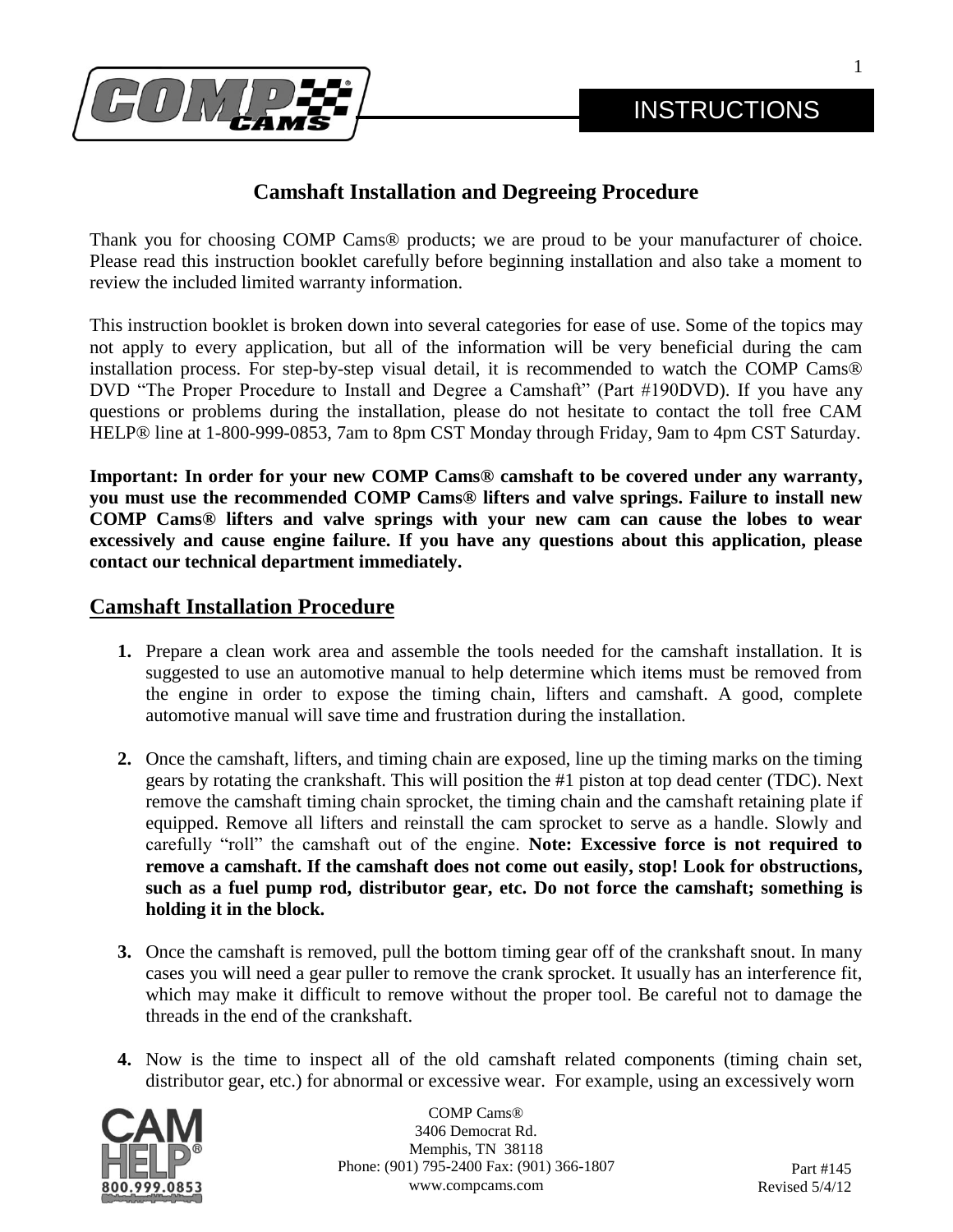1



# **Camshaft Installation and Degreeing Procedure**

Thank you for choosing COMP Cams® products; we are proud to be your manufacturer of choice. Please read this instruction booklet carefully before beginning installation and also take a moment to review the included limited warranty information.

This instruction booklet is broken down into several categories for ease of use. Some of the topics may not apply to every application, but all of the information will be very beneficial during the cam installation process. For step-by-step visual detail, it is recommended to watch the COMP Cams® DVD "The Proper Procedure to Install and Degree a Camshaft" (Part #190DVD). If you have any questions or problems during the installation, please do not hesitate to contact the toll free CAM HELP® line at 1-800-999-0853, 7am to 8pm CST Monday through Friday, 9am to 4pm CST Saturday.

**Important: In order for your new COMP Cams® camshaft to be covered under any warranty, you must use the recommended COMP Cams® lifters and valve springs. Failure to install new COMP Cams® lifters and valve springs with your new cam can cause the lobes to wear excessively and cause engine failure. If you have any questions about this application, please contact our technical department immediately.**

## **Camshaft Installation Procedure**

- **1.** Prepare a clean work area and assemble the tools needed for the camshaft installation. It is suggested to use an automotive manual to help determine which items must be removed from the engine in order to expose the timing chain, lifters and camshaft. A good, complete automotive manual will save time and frustration during the installation.
- **2.** Once the camshaft, lifters, and timing chain are exposed, line up the timing marks on the timing gears by rotating the crankshaft. This will position the #1 piston at top dead center (TDC). Next remove the camshaft timing chain sprocket, the timing chain and the camshaft retaining plate if equipped. Remove all lifters and reinstall the cam sprocket to serve as a handle. Slowly and carefully "roll" the camshaft out of the engine. **Note: Excessive force is not required to remove a camshaft. If the camshaft does not come out easily, stop! Look for obstructions, such as a fuel pump rod, distributor gear, etc. Do not force the camshaft; something is holding it in the block.**
- **3.** Once the camshaft is removed, pull the bottom timing gear off of the crankshaft snout. In many cases you will need a gear puller to remove the crank sprocket. It usually has an interference fit, which may make it difficult to remove without the proper tool. Be careful not to damage the threads in the end of the crankshaft.
- **4.** Now is the time to inspect all of the old camshaft related components (timing chain set, distributor gear, etc.) for abnormal or excessive wear. For example, using an excessively worn

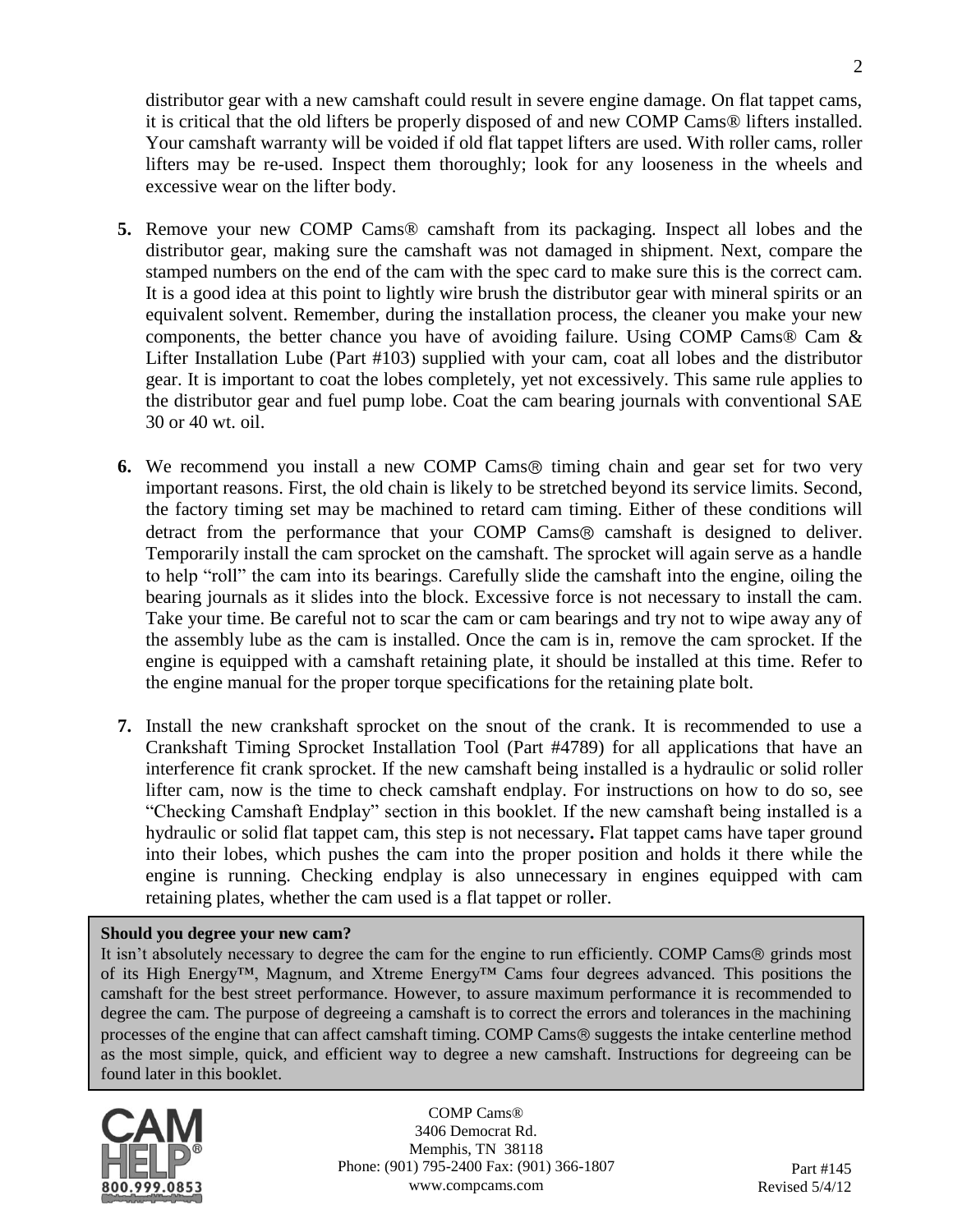distributor gear with a new camshaft could result in severe engine damage. On flat tappet cams, it is critical that the old lifters be properly disposed of and new COMP Cams® lifters installed. Your camshaft warranty will be voided if old flat tappet lifters are used. With roller cams, roller lifters may be re-used. Inspect them thoroughly; look for any looseness in the wheels and excessive wear on the lifter body.

- **5.** Remove your new COMP Cams® camshaft from its packaging. Inspect all lobes and the distributor gear, making sure the camshaft was not damaged in shipment. Next, compare the stamped numbers on the end of the cam with the spec card to make sure this is the correct cam. It is a good idea at this point to lightly wire brush the distributor gear with mineral spirits or an equivalent solvent. Remember, during the installation process, the cleaner you make your new components, the better chance you have of avoiding failure. Using COMP Cams® Cam & Lifter Installation Lube (Part #103) supplied with your cam, coat all lobes and the distributor gear. It is important to coat the lobes completely, yet not excessively. This same rule applies to the distributor gear and fuel pump lobe. Coat the cam bearing journals with conventional SAE 30 or 40 wt. oil.
- **6.** We recommend you install a new COMP Cams<sup>®</sup> timing chain and gear set for two very important reasons. First, the old chain is likely to be stretched beyond its service limits. Second, the factory timing set may be machined to retard cam timing. Either of these conditions will detract from the performance that your COMP Cams® camshaft is designed to deliver. Temporarily install the cam sprocket on the camshaft. The sprocket will again serve as a handle to help "roll" the cam into its bearings. Carefully slide the camshaft into the engine, oiling the bearing journals as it slides into the block. Excessive force is not necessary to install the cam. Take your time. Be careful not to scar the cam or cam bearings and try not to wipe away any of the assembly lube as the cam is installed. Once the cam is in, remove the cam sprocket. If the engine is equipped with a camshaft retaining plate, it should be installed at this time. Refer to the engine manual for the proper torque specifications for the retaining plate bolt.
- **7.** Install the new crankshaft sprocket on the snout of the crank. It is recommended to use a Crankshaft Timing Sprocket Installation Tool (Part #4789) for all applications that have an interference fit crank sprocket. If the new camshaft being installed is a hydraulic or solid roller lifter cam, now is the time to check camshaft endplay. For instructions on how to do so, see "Checking Camshaft Endplay" section in this booklet. If the new camshaft being installed is a hydraulic or solid flat tappet cam, this step is not necessary**.** Flat tappet cams have taper ground into their lobes, which pushes the cam into the proper position and holds it there while the engine is running. Checking endplay is also unnecessary in engines equipped with cam retaining plates, whether the cam used is a flat tappet or roller.

#### **Should you degree your new cam?**

It isn't absolutely necessary to degree the cam for the engine to run efficiently. COMP Cams® grinds most of its High Energy™, Magnum, and Xtreme Energy™ Cams four degrees advanced. This positions the camshaft for the best street performance. However, to assure maximum performance it is recommended to degree the cam. The purpose of degreeing a camshaft is to correct the errors and tolerances in the machining processes of the engine that can affect camshaft timing. COMP Cams ® suggests the intake centerline method as the most simple, quick, and efficient way to degree a new camshaft. Instructions for degreeing can be found later in this booklet.

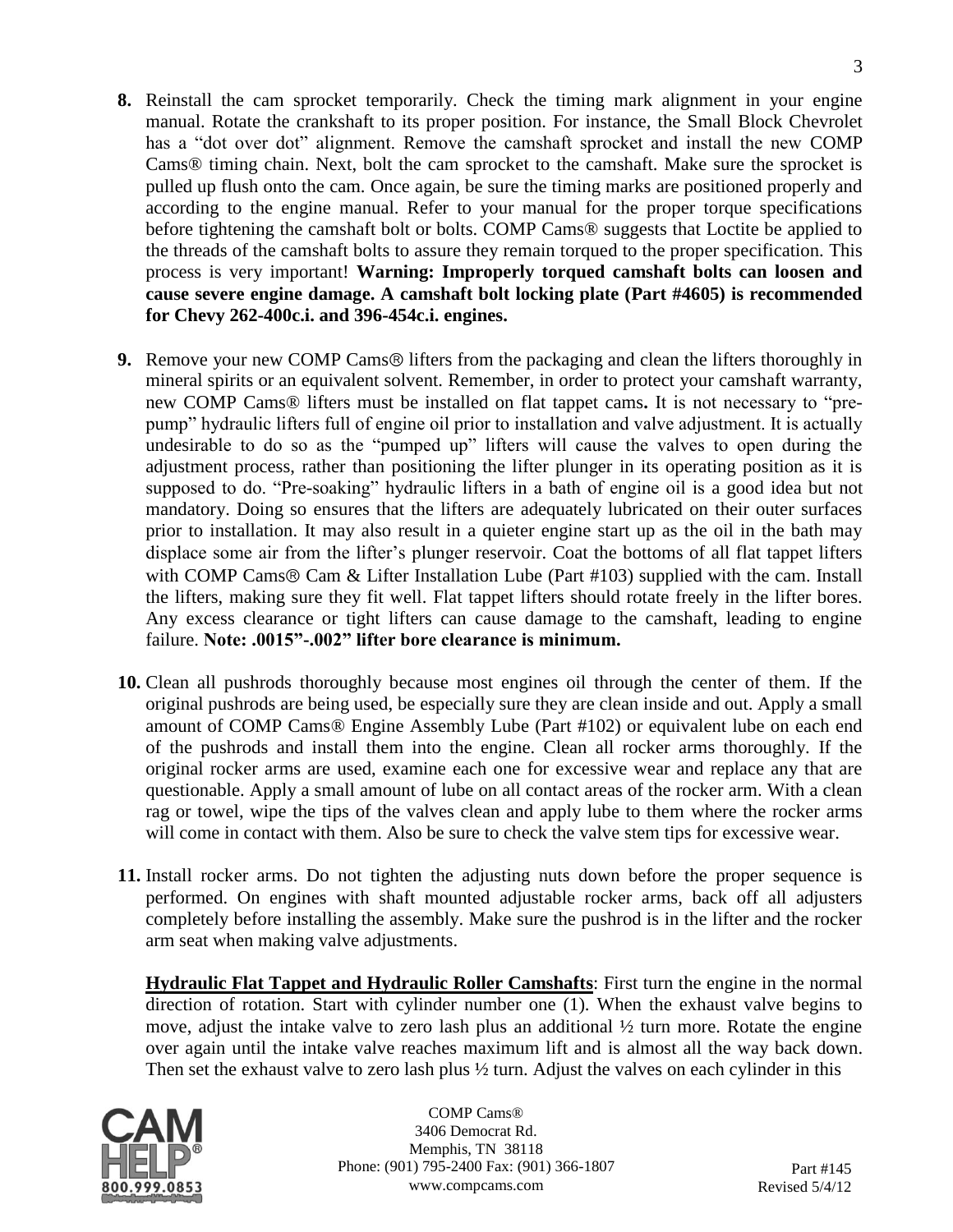- **8.** Reinstall the cam sprocket temporarily. Check the timing mark alignment in your engine manual. Rotate the crankshaft to its proper position. For instance, the Small Block Chevrolet has a "dot over dot" alignment. Remove the camshaft sprocket and install the new COMP Cams® timing chain. Next, bolt the cam sprocket to the camshaft. Make sure the sprocket is pulled up flush onto the cam. Once again, be sure the timing marks are positioned properly and according to the engine manual. Refer to your manual for the proper torque specifications before tightening the camshaft bolt or bolts. COMP Cams® suggests that Loctite be applied to the threads of the camshaft bolts to assure they remain torqued to the proper specification. This process is very important! **Warning: Improperly torqued camshaft bolts can loosen and cause severe engine damage. A camshaft bolt locking plate (Part #4605) is recommended for Chevy 262-400c.i. and 396-454c.i. engines.**
- **9.** Remove your new COMP Cams<sup>®</sup> lifters from the packaging and clean the lifters thoroughly in mineral spirits or an equivalent solvent. Remember, in order to protect your camshaft warranty, new COMP Cams® lifters must be installed on flat tappet cams**.** It is not necessary to "prepump" hydraulic lifters full of engine oil prior to installation and valve adjustment. It is actually undesirable to do so as the "pumped up" lifters will cause the valves to open during the adjustment process, rather than positioning the lifter plunger in its operating position as it is supposed to do. "Pre-soaking" hydraulic lifters in a bath of engine oil is a good idea but not mandatory. Doing so ensures that the lifters are adequately lubricated on their outer surfaces prior to installation. It may also result in a quieter engine start up as the oil in the bath may displace some air from the lifter's plunger reservoir. Coat the bottoms of all flat tappet lifters with COMP Cams  $\&$  Cam  $\&$  Lifter Installation Lube (Part #103) supplied with the cam. Install the lifters, making sure they fit well. Flat tappet lifters should rotate freely in the lifter bores. Any excess clearance or tight lifters can cause damage to the camshaft, leading to engine failure. **Note: .0015"-.002" lifter bore clearance is minimum.**
- **10.** Clean all pushrods thoroughly because most engines oil through the center of them. If the original pushrods are being used, be especially sure they are clean inside and out. Apply a small amount of COMP Cams® Engine Assembly Lube (Part #102) or equivalent lube on each end of the pushrods and install them into the engine. Clean all rocker arms thoroughly. If the original rocker arms are used, examine each one for excessive wear and replace any that are questionable. Apply a small amount of lube on all contact areas of the rocker arm. With a clean rag or towel, wipe the tips of the valves clean and apply lube to them where the rocker arms will come in contact with them. Also be sure to check the valve stem tips for excessive wear.
- **11.** Install rocker arms. Do not tighten the adjusting nuts down before the proper sequence is performed. On engines with shaft mounted adjustable rocker arms, back off all adjusters completely before installing the assembly. Make sure the pushrod is in the lifter and the rocker arm seat when making valve adjustments.

**Hydraulic Flat Tappet and Hydraulic Roller Camshafts**: First turn the engine in the normal direction of rotation. Start with cylinder number one (1). When the exhaust valve begins to move, adjust the intake valve to zero lash plus an additional ½ turn more. Rotate the engine over again until the intake valve reaches maximum lift and is almost all the way back down. Then set the exhaust valve to zero lash plus  $\frac{1}{2}$  turn. Adjust the valves on each cylinder in this

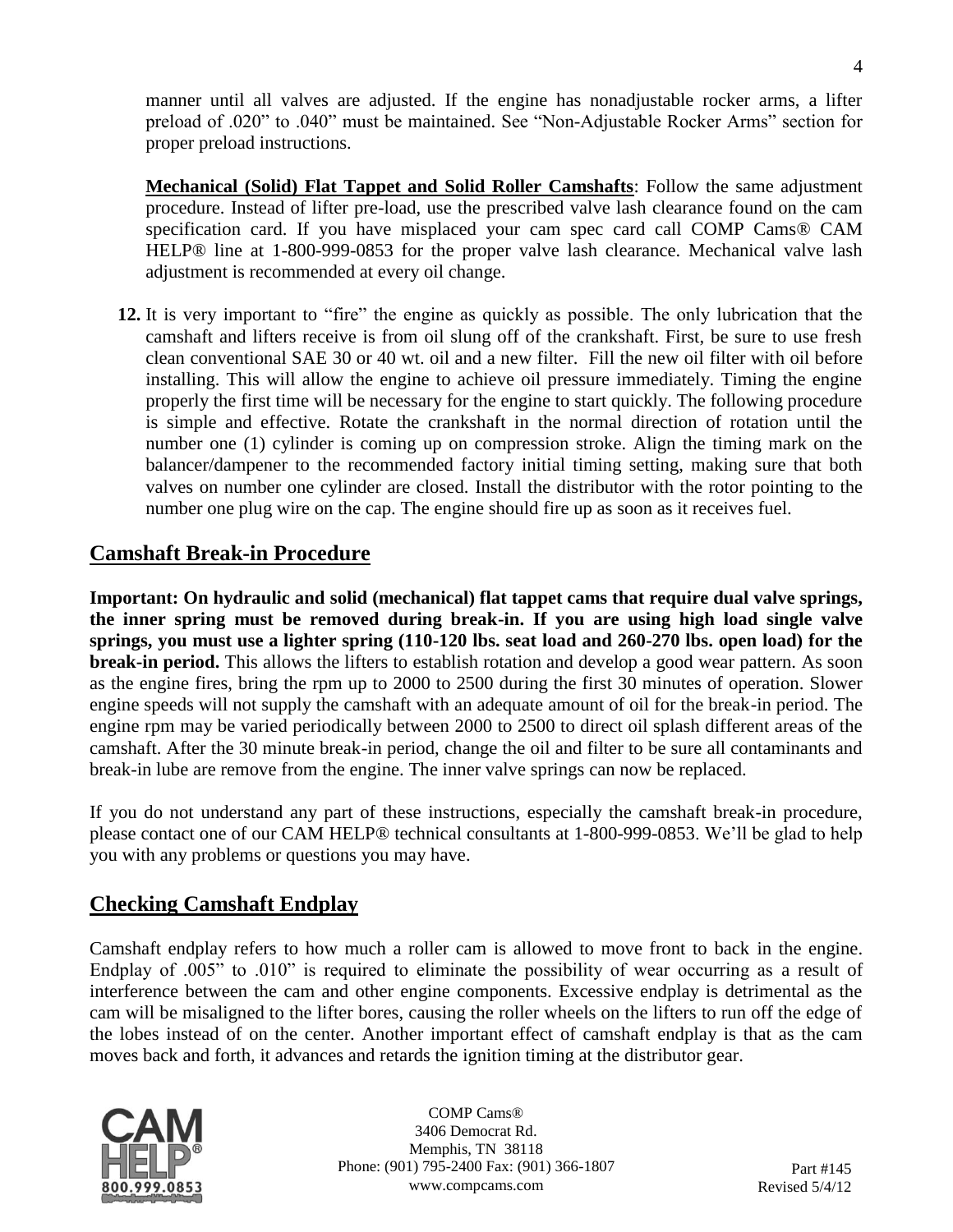manner until all valves are adjusted. If the engine has nonadjustable rocker arms, a lifter preload of .020" to .040" must be maintained. See "Non-Adjustable Rocker Arms" section for proper preload instructions.

**Mechanical (Solid) Flat Tappet and Solid Roller Camshafts**: Follow the same adjustment procedure. Instead of lifter pre-load, use the prescribed valve lash clearance found on the cam specification card. If you have misplaced your cam spec card call COMP Cams® CAM HELP® line at 1-800-999-0853 for the proper valve lash clearance. Mechanical valve lash adjustment is recommended at every oil change.

**12.** It is very important to "fire" the engine as quickly as possible. The only lubrication that the camshaft and lifters receive is from oil slung off of the crankshaft. First, be sure to use fresh clean conventional SAE 30 or 40 wt. oil and a new filter. Fill the new oil filter with oil before installing. This will allow the engine to achieve oil pressure immediately. Timing the engine properly the first time will be necessary for the engine to start quickly. The following procedure is simple and effective. Rotate the crankshaft in the normal direction of rotation until the number one (1) cylinder is coming up on compression stroke. Align the timing mark on the balancer/dampener to the recommended factory initial timing setting, making sure that both valves on number one cylinder are closed. Install the distributor with the rotor pointing to the number one plug wire on the cap. The engine should fire up as soon as it receives fuel.

## **Camshaft Break-in Procedure**

**Important: On hydraulic and solid (mechanical) flat tappet cams that require dual valve springs, the inner spring must be removed during break-in. If you are using high load single valve springs, you must use a lighter spring (110-120 lbs. seat load and 260-270 lbs. open load) for the break-in period.** This allows the lifters to establish rotation and develop a good wear pattern. As soon as the engine fires, bring the rpm up to 2000 to 2500 during the first 30 minutes of operation. Slower engine speeds will not supply the camshaft with an adequate amount of oil for the break-in period. The engine rpm may be varied periodically between 2000 to 2500 to direct oil splash different areas of the camshaft. After the 30 minute break-in period, change the oil and filter to be sure all contaminants and break-in lube are remove from the engine. The inner valve springs can now be replaced.

If you do not understand any part of these instructions, especially the camshaft break-in procedure, please contact one of our CAM HELP® technical consultants at 1-800-999-0853. We'll be glad to help you with any problems or questions you may have.

#### **Checking Camshaft Endplay**

Camshaft endplay refers to how much a roller cam is allowed to move front to back in the engine. Endplay of .005" to .010" is required to eliminate the possibility of wear occurring as a result of interference between the cam and other engine components. Excessive endplay is detrimental as the cam will be misaligned to the lifter bores, causing the roller wheels on the lifters to run off the edge of the lobes instead of on the center. Another important effect of camshaft endplay is that as the cam moves back and forth, it advances and retards the ignition timing at the distributor gear.

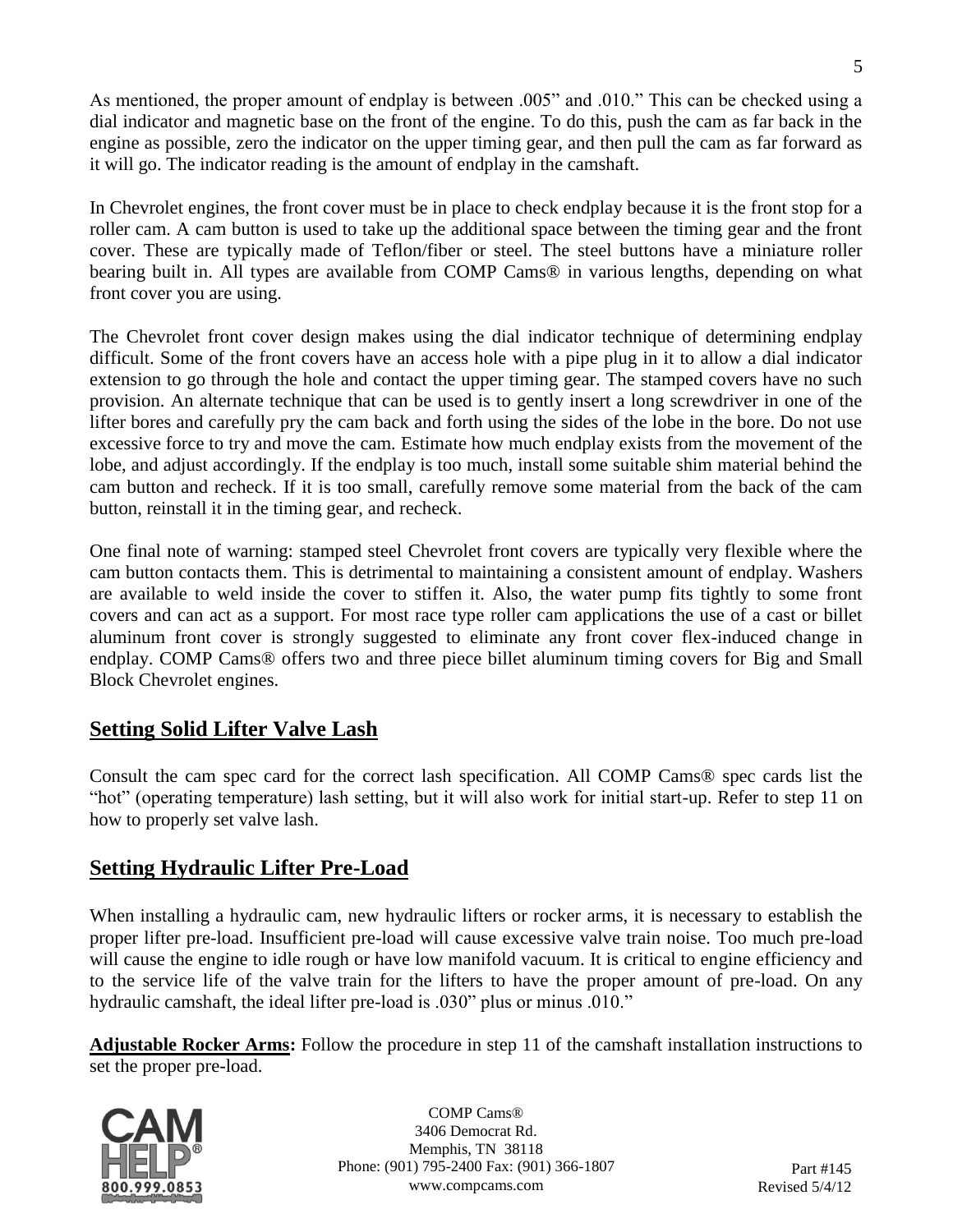As mentioned, the proper amount of endplay is between .005" and .010." This can be checked using a dial indicator and magnetic base on the front of the engine. To do this, push the cam as far back in the engine as possible, zero the indicator on the upper timing gear, and then pull the cam as far forward as it will go. The indicator reading is the amount of endplay in the camshaft.

In Chevrolet engines, the front cover must be in place to check endplay because it is the front stop for a roller cam. A cam button is used to take up the additional space between the timing gear and the front cover. These are typically made of Teflon/fiber or steel. The steel buttons have a miniature roller bearing built in. All types are available from COMP Cams® in various lengths, depending on what front cover you are using.

The Chevrolet front cover design makes using the dial indicator technique of determining endplay difficult. Some of the front covers have an access hole with a pipe plug in it to allow a dial indicator extension to go through the hole and contact the upper timing gear. The stamped covers have no such provision. An alternate technique that can be used is to gently insert a long screwdriver in one of the lifter bores and carefully pry the cam back and forth using the sides of the lobe in the bore. Do not use excessive force to try and move the cam. Estimate how much endplay exists from the movement of the lobe, and adjust accordingly. If the endplay is too much, install some suitable shim material behind the cam button and recheck. If it is too small, carefully remove some material from the back of the cam button, reinstall it in the timing gear, and recheck.

One final note of warning: stamped steel Chevrolet front covers are typically very flexible where the cam button contacts them. This is detrimental to maintaining a consistent amount of endplay. Washers are available to weld inside the cover to stiffen it. Also, the water pump fits tightly to some front covers and can act as a support. For most race type roller cam applications the use of a cast or billet aluminum front cover is strongly suggested to eliminate any front cover flex-induced change in endplay. COMP Cams® offers two and three piece billet aluminum timing covers for Big and Small Block Chevrolet engines.

# **Setting Solid Lifter Valve Lash**

Consult the cam spec card for the correct lash specification. All COMP Cams® spec cards list the "hot" (operating temperature) lash setting, but it will also work for initial start-up. Refer to step 11 on how to properly set valve lash.

# **Setting Hydraulic Lifter Pre-Load**

When installing a hydraulic cam, new hydraulic lifters or rocker arms, it is necessary to establish the proper lifter pre-load. Insufficient pre-load will cause excessive valve train noise. Too much pre-load will cause the engine to idle rough or have low manifold vacuum. It is critical to engine efficiency and to the service life of the valve train for the lifters to have the proper amount of pre-load. On any hydraulic camshaft, the ideal lifter pre-load is .030" plus or minus .010."

**Adjustable Rocker Arms:** Follow the procedure in step 11 of the camshaft installation instructions to set the proper pre-load.



COMP Cams® 3406 Democrat Rd. Memphis, TN 38118 Phone: (901) 795-2400 Fax: (901) 366-1807 www.compcams.com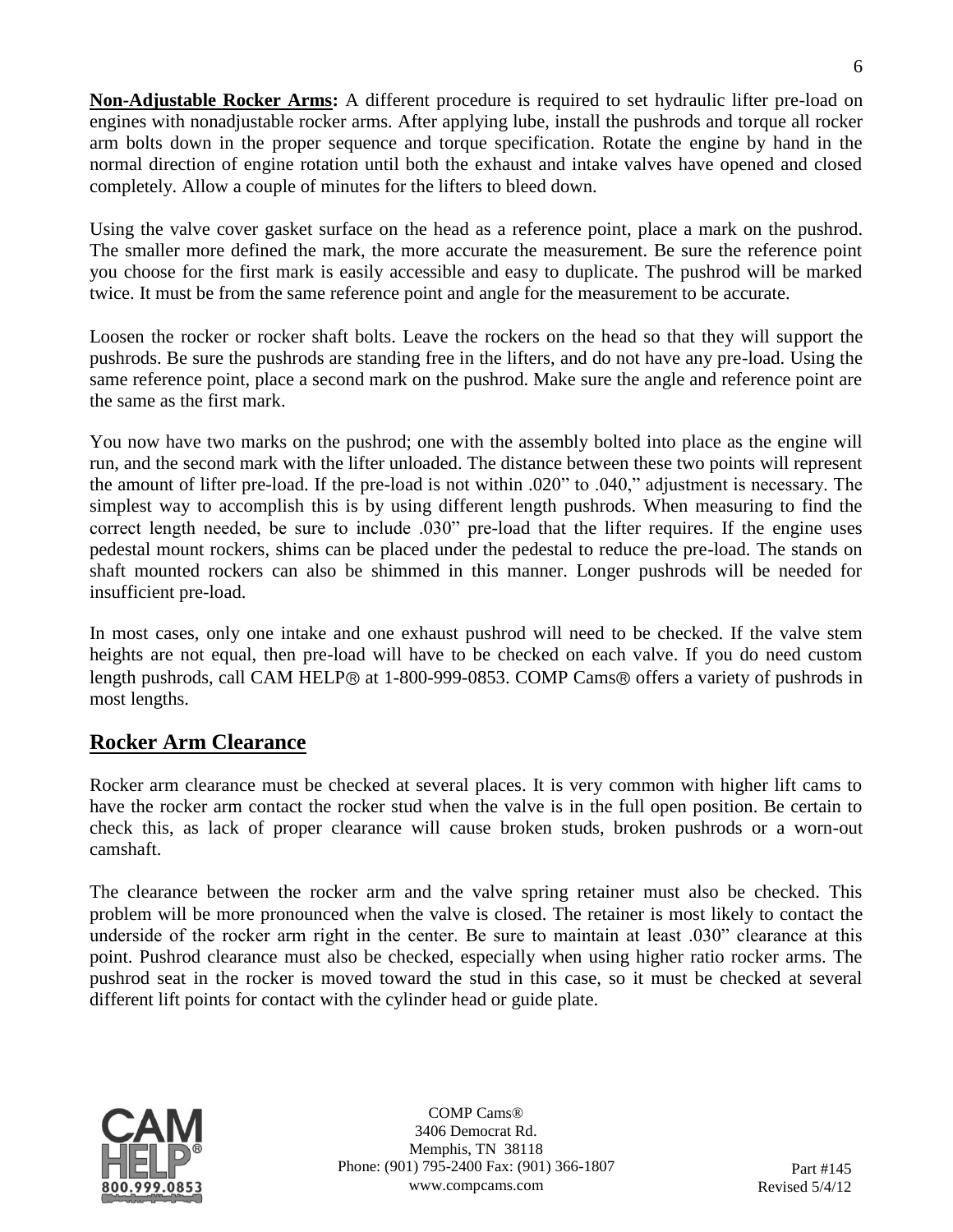**Non-Adjustable Rocker Arms:** A different procedure is required to set hydraulic lifter pre-load on engines with nonadjustable rocker arms. After applying lube, install the pushrods and torque all rocker arm bolts down in the proper sequence and torque specification. Rotate the engine by hand in the normal direction of engine rotation until both the exhaust and intake valves have opened and closed completely. Allow a couple of minutes for the lifters to bleed down.

Using the valve cover gasket surface on the head as a reference point, place a mark on the pushrod. The smaller more defined the mark, the more accurate the measurement. Be sure the reference point you choose for the first mark is easily accessible and easy to duplicate. The pushrod will be marked twice. It must be from the same reference point and angle for the measurement to be accurate.

Loosen the rocker or rocker shaft bolts. Leave the rockers on the head so that they will support the pushrods. Be sure the pushrods are standing free in the lifters, and do not have any pre-load. Using the same reference point, place a second mark on the pushrod. Make sure the angle and reference point are the same as the first mark.

You now have two marks on the pushrod; one with the assembly bolted into place as the engine will run, and the second mark with the lifter unloaded. The distance between these two points will represent the amount of lifter pre-load. If the pre-load is not within .020" to .040," adjustment is necessary. The simplest way to accomplish this is by using different length pushrods. When measuring to find the correct length needed, be sure to include .030" pre-load that the lifter requires. If the engine uses pedestal mount rockers, shims can be placed under the pedestal to reduce the pre-load. The stands on shaft mounted rockers can also be shimmed in this manner. Longer pushrods will be needed for insufficient pre-load.

In most cases, only one intake and one exhaust pushrod will need to be checked. If the valve stem heights are not equal, then pre-load will have to be checked on each valve. If you do need custom length pushrods, call CAM HELP<sup>®</sup> at 1-800-999-0853. COMP Cams<sup>®</sup> offers a variety of pushrods in most lengths.

# **Rocker Arm Clearance**

Rocker arm clearance must be checked at several places. It is very common with higher lift cams to have the rocker arm contact the rocker stud when the valve is in the full open position. Be certain to check this, as lack of proper clearance will cause broken studs, broken pushrods or a worn-out camshaft.

The clearance between the rocker arm and the valve spring retainer must also be checked. This problem will be more pronounced when the valve is closed. The retainer is most likely to contact the underside of the rocker arm right in the center. Be sure to maintain at least .030" clearance at this point. Pushrod clearance must also be checked, especially when using higher ratio rocker arms. The pushrod seat in the rocker is moved toward the stud in this case, so it must be checked at several different lift points for contact with the cylinder head or guide plate.



COMP Cams® 3406 Democrat Rd. Memphis, TN 38118 Phone: (901) 795-2400 Fax: (901) 366-1807 www.compcams.com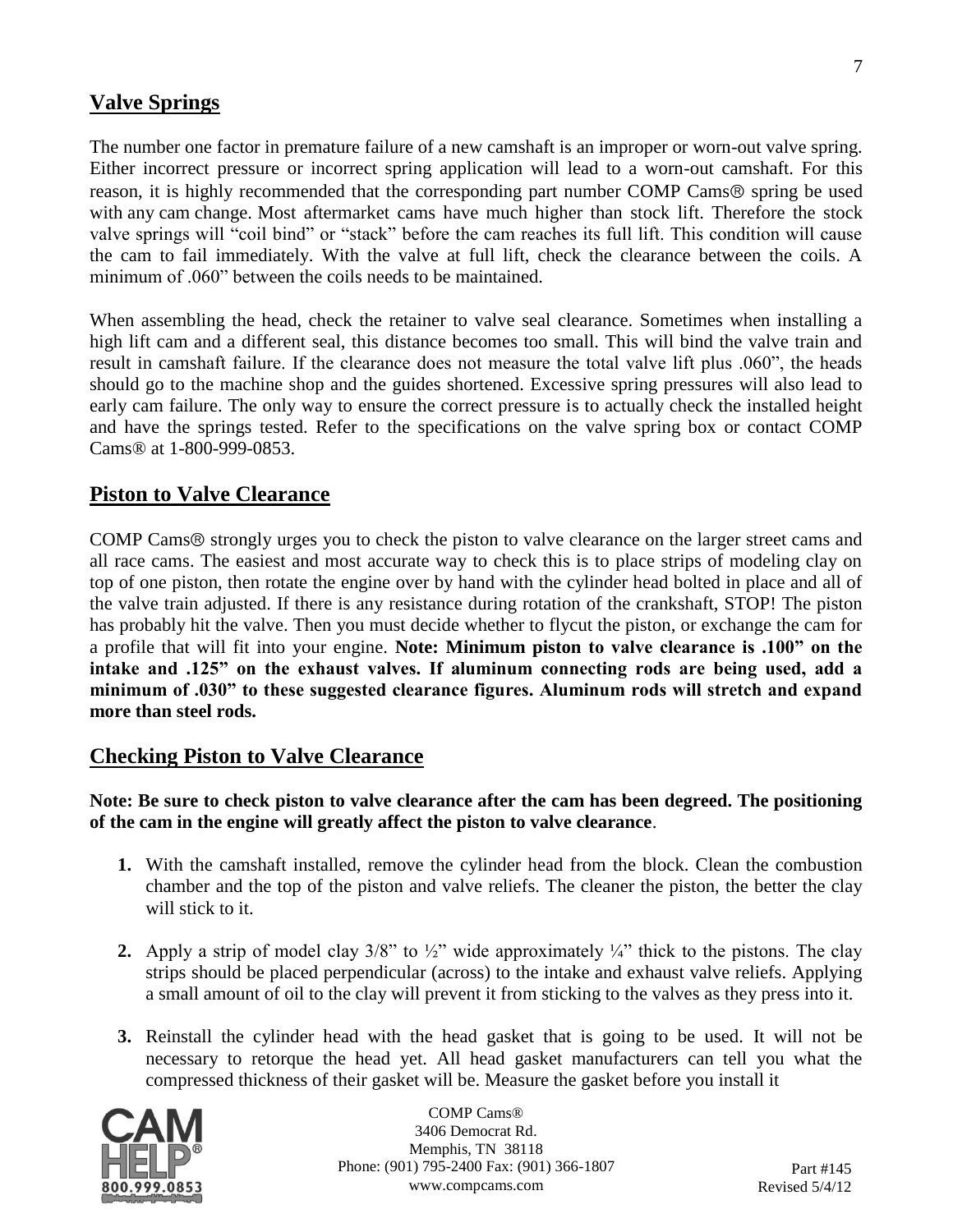#### **Valve Springs**

The number one factor in premature failure of a new camshaft is an improper or worn-out valve spring. Either incorrect pressure or incorrect spring application will lead to a worn-out camshaft. For this reason, it is highly recommended that the corresponding part number COMP Cams $\circledR$  spring be used with any cam change. Most aftermarket cams have much higher than stock lift. Therefore the stock valve springs will "coil bind" or "stack" before the cam reaches its full lift. This condition will cause the cam to fail immediately. With the valve at full lift, check the clearance between the coils. A minimum of .060" between the coils needs to be maintained.

When assembling the head, check the retainer to valve seal clearance. Sometimes when installing a high lift cam and a different seal, this distance becomes too small. This will bind the valve train and result in camshaft failure. If the clearance does not measure the total valve lift plus .060", the heads should go to the machine shop and the guides shortened. Excessive spring pressures will also lead to early cam failure. The only way to ensure the correct pressure is to actually check the installed height and have the springs tested. Refer to the specifications on the valve spring box or contact COMP Cams® at 1-800-999-0853.

#### **Piston to Valve Clearance**

COMP Cams<sup>®</sup> strongly urges you to check the piston to valve clearance on the larger street cams and all race cams. The easiest and most accurate way to check this is to place strips of modeling clay on top of one piston, then rotate the engine over by hand with the cylinder head bolted in place and all of the valve train adjusted. If there is any resistance during rotation of the crankshaft, STOP! The piston has probably hit the valve. Then you must decide whether to flycut the piston, or exchange the cam for a profile that will fit into your engine. **Note: Minimum piston to valve clearance is .100" on the intake and .125" on the exhaust valves. If aluminum connecting rods are being used, add a minimum of .030" to these suggested clearance figures. Aluminum rods will stretch and expand more than steel rods.**

#### **Checking Piston to Valve Clearance**

**Note: Be sure to check piston to valve clearance after the cam has been degreed. The positioning of the cam in the engine will greatly affect the piston to valve clearance**.

- **1.** With the camshaft installed, remove the cylinder head from the block. Clean the combustion chamber and the top of the piston and valve reliefs. The cleaner the piston, the better the clay will stick to it.
- **2.** Apply a strip of model clay  $3/8$ " to  $\frac{1}{2}$ " wide approximately  $\frac{1}{4}$ " thick to the pistons. The clay strips should be placed perpendicular (across) to the intake and exhaust valve reliefs. Applying a small amount of oil to the clay will prevent it from sticking to the valves as they press into it.
- **3.** Reinstall the cylinder head with the head gasket that is going to be used. It will not be necessary to retorque the head yet. All head gasket manufacturers can tell you what the compressed thickness of their gasket will be. Measure the gasket before you install it

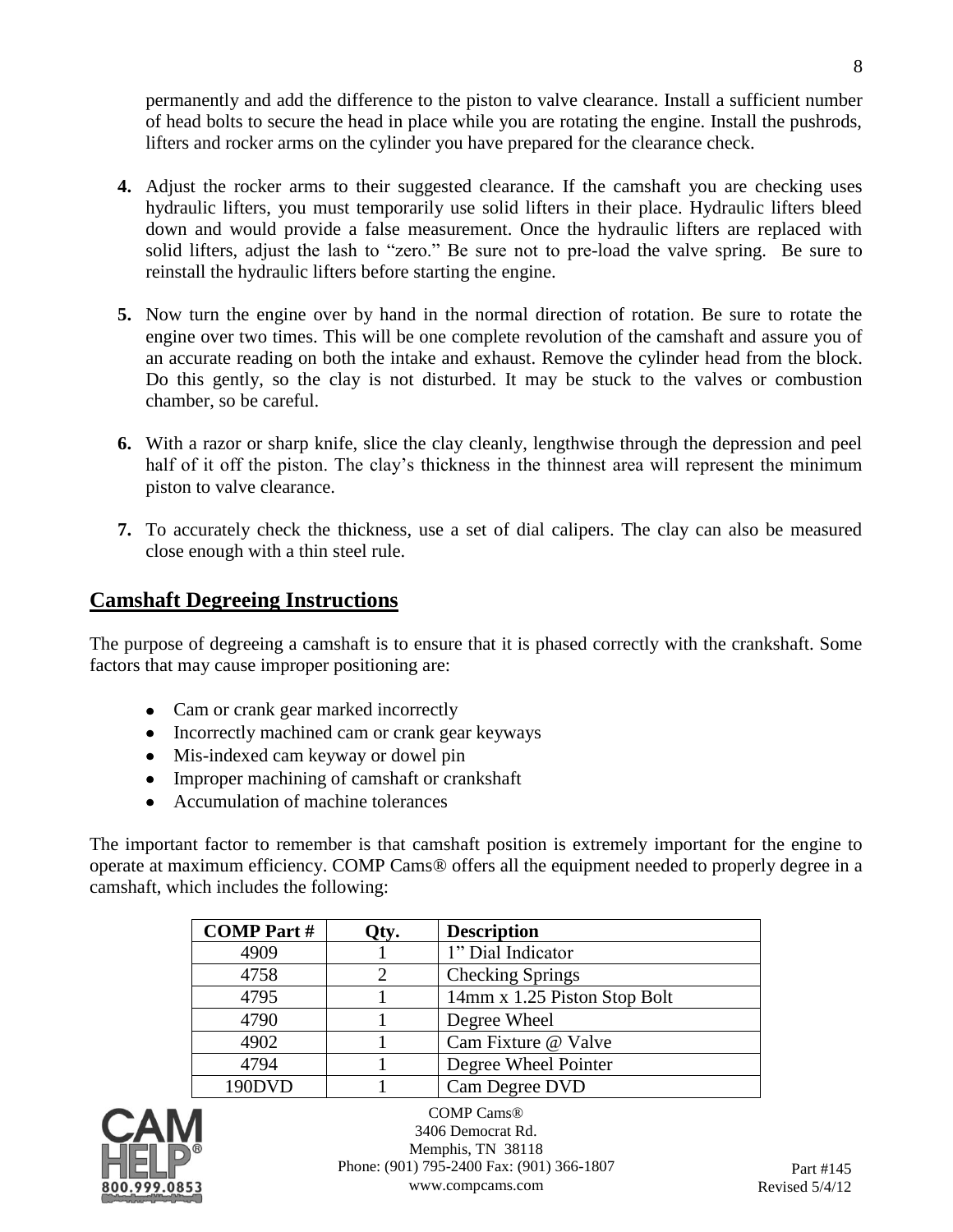permanently and add the difference to the piston to valve clearance. Install a sufficient number of head bolts to secure the head in place while you are rotating the engine. Install the pushrods, lifters and rocker arms on the cylinder you have prepared for the clearance check.

- **4.** Adjust the rocker arms to their suggested clearance. If the camshaft you are checking uses hydraulic lifters, you must temporarily use solid lifters in their place. Hydraulic lifters bleed down and would provide a false measurement. Once the hydraulic lifters are replaced with solid lifters, adjust the lash to "zero." Be sure not to pre-load the valve spring. Be sure to reinstall the hydraulic lifters before starting the engine.
- **5.** Now turn the engine over by hand in the normal direction of rotation. Be sure to rotate the engine over two times. This will be one complete revolution of the camshaft and assure you of an accurate reading on both the intake and exhaust. Remove the cylinder head from the block. Do this gently, so the clay is not disturbed. It may be stuck to the valves or combustion chamber, so be careful.
- **6.** With a razor or sharp knife, slice the clay cleanly, lengthwise through the depression and peel half of it off the piston. The clay's thickness in the thinnest area will represent the minimum piston to valve clearance.
- **7.** To accurately check the thickness, use a set of dial calipers. The clay can also be measured close enough with a thin steel rule.

## **Camshaft Degreeing Instructions**

The purpose of degreeing a camshaft is to ensure that it is phased correctly with the crankshaft. Some factors that may cause improper positioning are:

- Cam or crank gear marked incorrectly
- Incorrectly machined cam or crank gear keyways
- Mis-indexed cam keyway or dowel pin
- Improper machining of camshaft or crankshaft
- Accumulation of machine tolerances  $\bullet$

The important factor to remember is that camshaft position is extremely important for the engine to operate at maximum efficiency. COMP Cams® offers all the equipment needed to properly degree in a camshaft, which includes the following:

| <b>COMP Part #</b> | Qty. | <b>Description</b>           |
|--------------------|------|------------------------------|
| 4909               |      | 1" Dial Indicator            |
| 4758               |      | <b>Checking Springs</b>      |
| 4795               |      | 14mm x 1.25 Piston Stop Bolt |
| 4790               |      | Degree Wheel                 |
| 4902               |      | Cam Fixture @ Valve          |
| 4794               |      | Degree Wheel Pointer         |
| 190DVD             |      | Cam Degree DVD               |

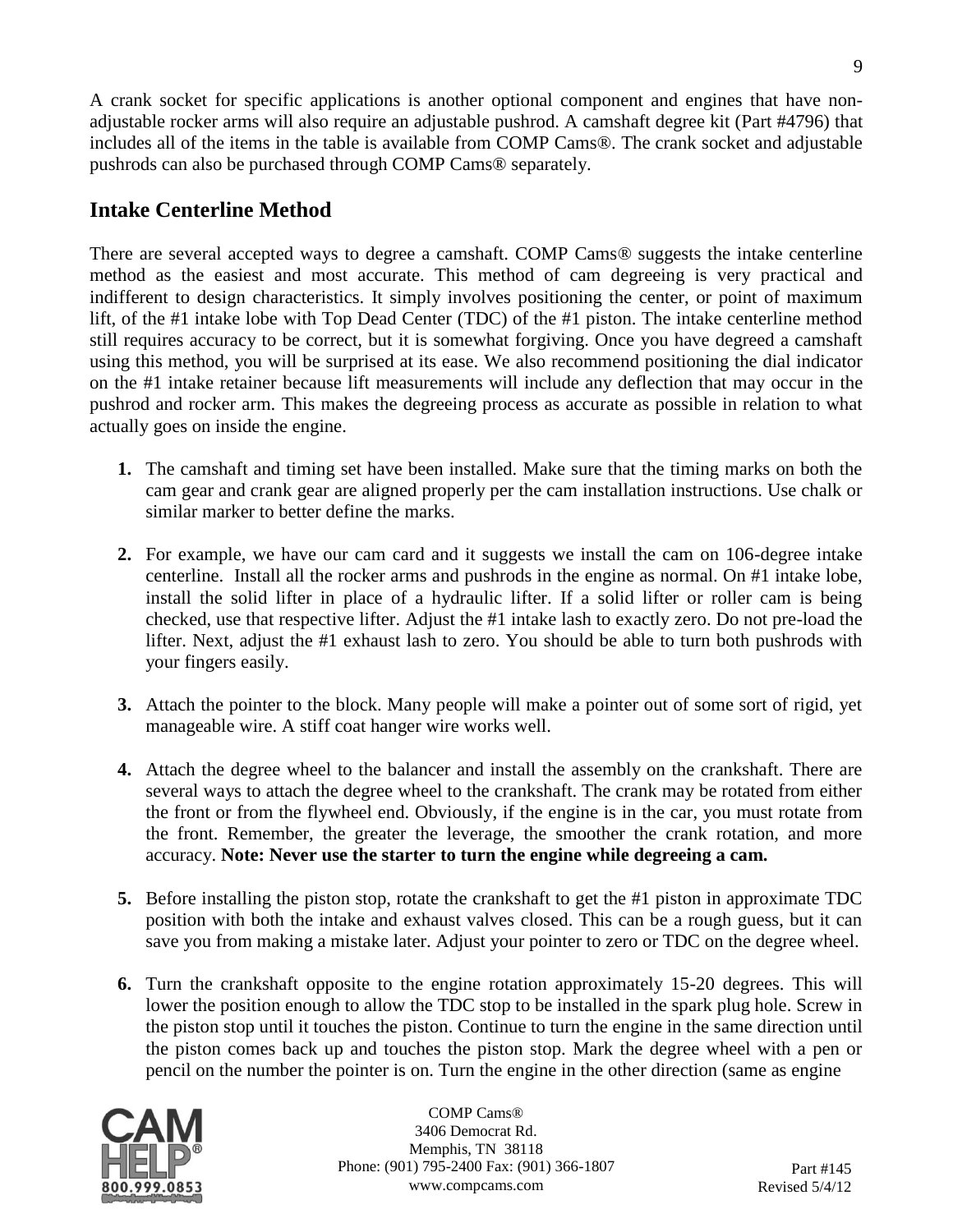A crank socket for specific applications is another optional component and engines that have nonadjustable rocker arms will also require an adjustable pushrod. A camshaft degree kit (Part #4796) that includes all of the items in the table is available from COMP Cams®. The crank socket and adjustable pushrods can also be purchased through COMP Cams® separately.

## **Intake Centerline Method**

There are several accepted ways to degree a camshaft. COMP Cams® suggests the intake centerline method as the easiest and most accurate. This method of cam degreeing is very practical and indifferent to design characteristics. It simply involves positioning the center, or point of maximum lift, of the #1 intake lobe with Top Dead Center (TDC) of the #1 piston. The intake centerline method still requires accuracy to be correct, but it is somewhat forgiving. Once you have degreed a camshaft using this method, you will be surprised at its ease. We also recommend positioning the dial indicator on the #1 intake retainer because lift measurements will include any deflection that may occur in the pushrod and rocker arm. This makes the degreeing process as accurate as possible in relation to what actually goes on inside the engine.

- **1.** The camshaft and timing set have been installed. Make sure that the timing marks on both the cam gear and crank gear are aligned properly per the cam installation instructions. Use chalk or similar marker to better define the marks.
- **2.** For example, we have our cam card and it suggests we install the cam on 106-degree intake centerline. Install all the rocker arms and pushrods in the engine as normal. On #1 intake lobe, install the solid lifter in place of a hydraulic lifter. If a solid lifter or roller cam is being checked, use that respective lifter. Adjust the #1 intake lash to exactly zero. Do not pre-load the lifter. Next, adjust the #1 exhaust lash to zero. You should be able to turn both pushrods with your fingers easily.
- **3.** Attach the pointer to the block. Many people will make a pointer out of some sort of rigid, yet manageable wire. A stiff coat hanger wire works well.
- **4.** Attach the degree wheel to the balancer and install the assembly on the crankshaft. There are several ways to attach the degree wheel to the crankshaft. The crank may be rotated from either the front or from the flywheel end. Obviously, if the engine is in the car, you must rotate from the front. Remember, the greater the leverage, the smoother the crank rotation, and more accuracy. **Note: Never use the starter to turn the engine while degreeing a cam.**
- **5.** Before installing the piston stop, rotate the crankshaft to get the #1 piston in approximate TDC position with both the intake and exhaust valves closed. This can be a rough guess, but it can save you from making a mistake later. Adjust your pointer to zero or TDC on the degree wheel.
- **6.** Turn the crankshaft opposite to the engine rotation approximately 15-20 degrees. This will lower the position enough to allow the TDC stop to be installed in the spark plug hole. Screw in the piston stop until it touches the piston. Continue to turn the engine in the same direction until the piston comes back up and touches the piston stop. Mark the degree wheel with a pen or pencil on the number the pointer is on. Turn the engine in the other direction (same as engine

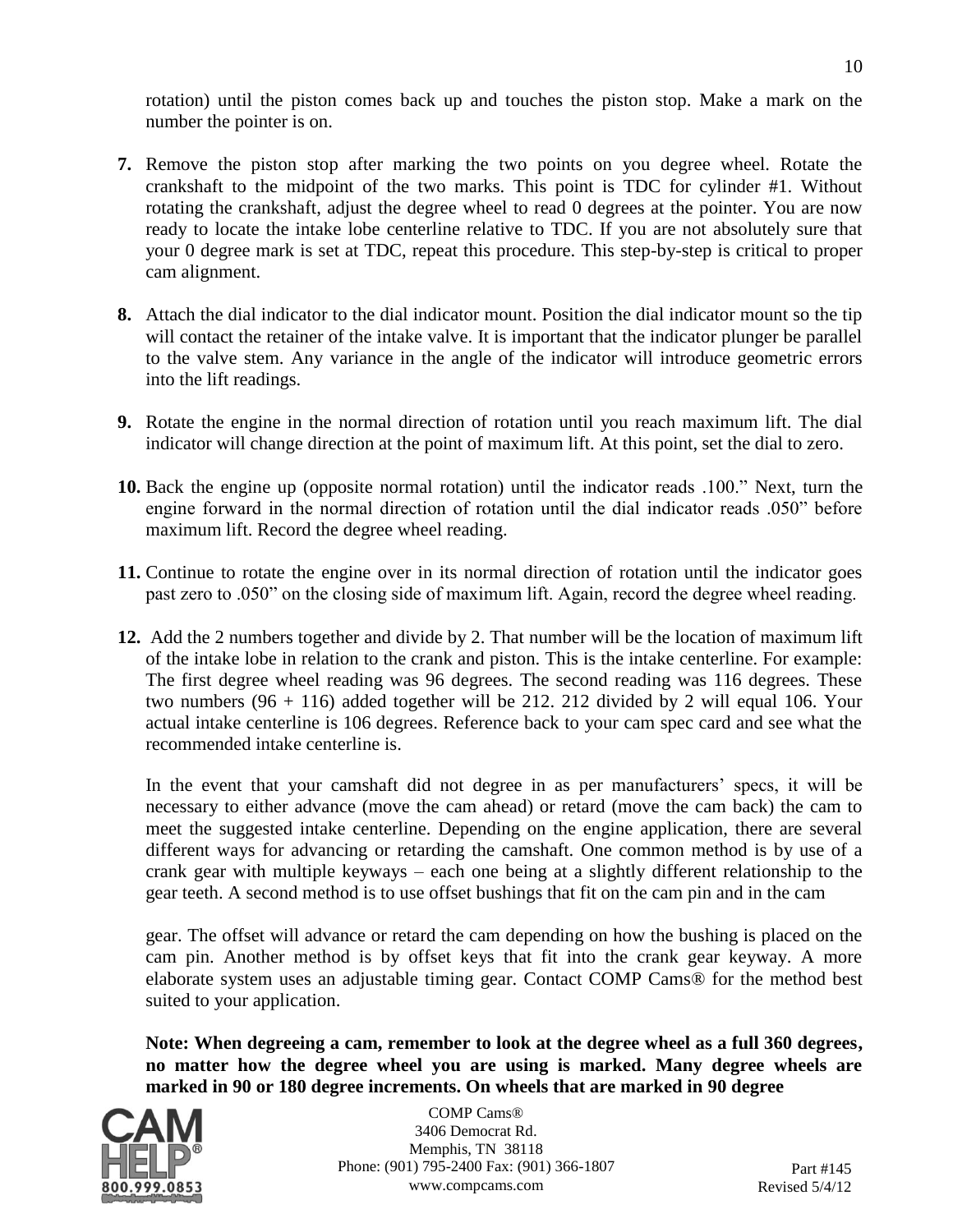rotation) until the piston comes back up and touches the piston stop. Make a mark on the number the pointer is on.

- **7.** Remove the piston stop after marking the two points on you degree wheel. Rotate the crankshaft to the midpoint of the two marks. This point is TDC for cylinder #1. Without rotating the crankshaft, adjust the degree wheel to read 0 degrees at the pointer. You are now ready to locate the intake lobe centerline relative to TDC. If you are not absolutely sure that your 0 degree mark is set at TDC, repeat this procedure. This step-by-step is critical to proper cam alignment.
- **8.** Attach the dial indicator to the dial indicator mount. Position the dial indicator mount so the tip will contact the retainer of the intake valve. It is important that the indicator plunger be parallel to the valve stem. Any variance in the angle of the indicator will introduce geometric errors into the lift readings.
- **9.** Rotate the engine in the normal direction of rotation until you reach maximum lift. The dial indicator will change direction at the point of maximum lift. At this point, set the dial to zero.
- **10.** Back the engine up (opposite normal rotation) until the indicator reads .100." Next, turn the engine forward in the normal direction of rotation until the dial indicator reads .050" before maximum lift. Record the degree wheel reading.
- **11.** Continue to rotate the engine over in its normal direction of rotation until the indicator goes past zero to .050" on the closing side of maximum lift. Again, record the degree wheel reading.
- **12.** Add the 2 numbers together and divide by 2. That number will be the location of maximum lift of the intake lobe in relation to the crank and piston. This is the intake centerline. For example: The first degree wheel reading was 96 degrees. The second reading was 116 degrees. These two numbers  $(96 + 116)$  added together will be 212. 212 divided by 2 will equal 106. Your actual intake centerline is 106 degrees. Reference back to your cam spec card and see what the recommended intake centerline is.

In the event that your camshaft did not degree in as per manufacturers' specs, it will be necessary to either advance (move the cam ahead) or retard (move the cam back) the cam to meet the suggested intake centerline. Depending on the engine application, there are several different ways for advancing or retarding the camshaft. One common method is by use of a crank gear with multiple keyways – each one being at a slightly different relationship to the gear teeth. A second method is to use offset bushings that fit on the cam pin and in the cam

gear. The offset will advance or retard the cam depending on how the bushing is placed on the cam pin. Another method is by offset keys that fit into the crank gear keyway. A more elaborate system uses an adjustable timing gear. Contact COMP Cams® for the method best suited to your application.

**Note: When degreeing a cam, remember to look at the degree wheel as a full 360 degrees, no matter how the degree wheel you are using is marked. Many degree wheels are marked in 90 or 180 degree increments. On wheels that are marked in 90 degree** 

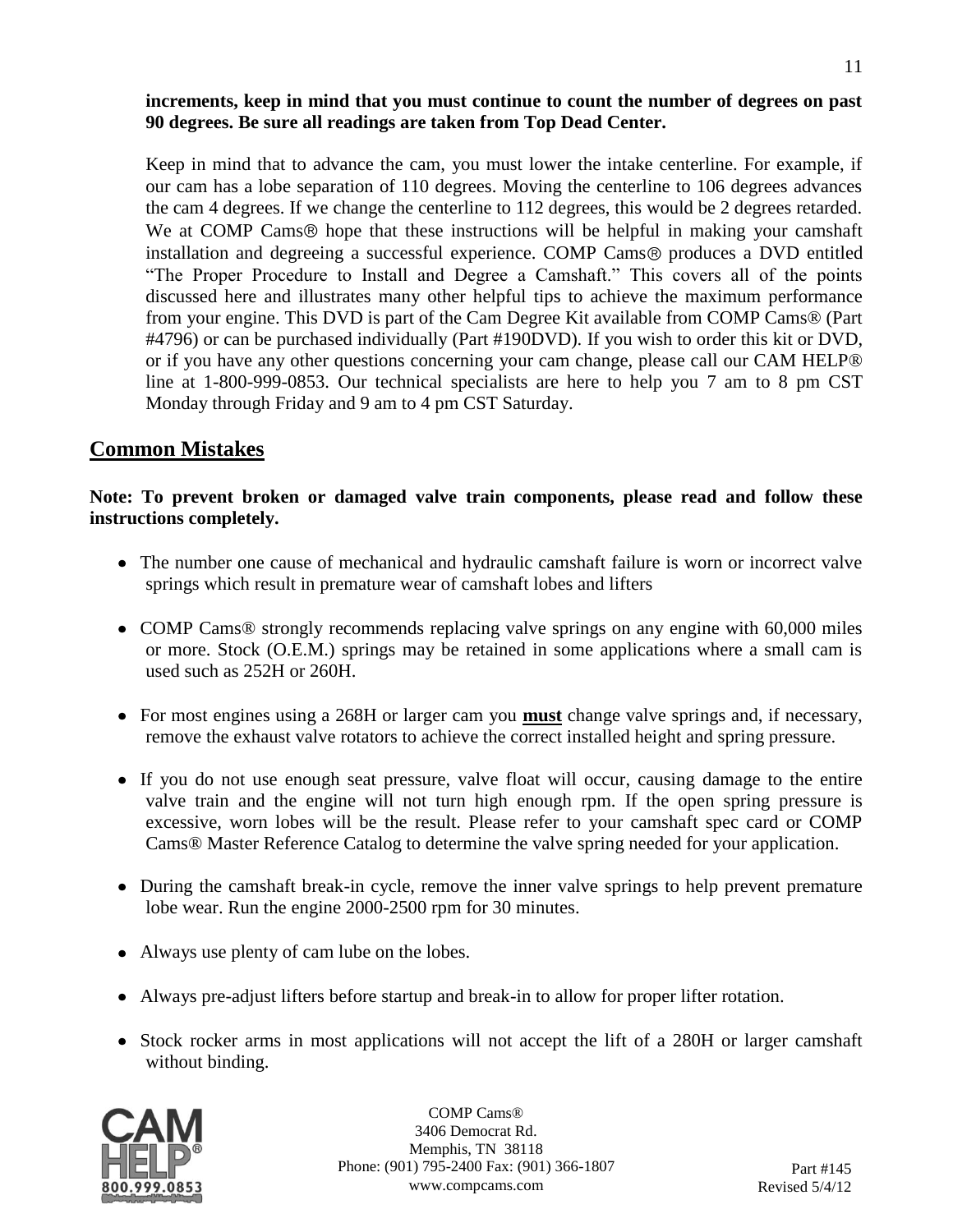Keep in mind that to advance the cam, you must lower the intake centerline. For example, if our cam has a lobe separation of 110 degrees. Moving the centerline to 106 degrees advances the cam 4 degrees. If we change the centerline to 112 degrees, this would be 2 degrees retarded. We at COMP Cams® hope that these instructions will be helpful in making your camshaft installation and degreeing a successful experience. COMP Cams<sup>®</sup> produces a DVD entitled "The Proper Procedure to Install and Degree a Camshaft." This covers all of the points discussed here and illustrates many other helpful tips to achieve the maximum performance from your engine. This DVD is part of the Cam Degree Kit available from COMP Cams® (Part #4796) or can be purchased individually (Part #190DVD). If you wish to order this kit or DVD, or if you have any other questions concerning your cam change, please call our CAM HELP® line at 1-800-999-0853. Our technical specialists are here to help you 7 am to 8 pm CST Monday through Friday and 9 am to 4 pm CST Saturday.

# **Common Mistakes**

#### **Note: To prevent broken or damaged valve train components, please read and follow these instructions completely.**

- The number one cause of mechanical and hydraulic camshaft failure is worn or incorrect valve springs which result in premature wear of camshaft lobes and lifters
- COMP Cams<sup>®</sup> strongly recommends replacing valve springs on any engine with 60,000 miles or more. Stock (O.E.M.) springs may be retained in some applications where a small cam is used such as 252H or 260H.
- For most engines using a 268H or larger cam you **must** change valve springs and, if necessary, remove the exhaust valve rotators to achieve the correct installed height and spring pressure.
- If you do not use enough seat pressure, valve float will occur, causing damage to the entire valve train and the engine will not turn high enough rpm. If the open spring pressure is excessive, worn lobes will be the result. Please refer to your camshaft spec card or COMP Cams® Master Reference Catalog to determine the valve spring needed for your application.
- During the camshaft break-in cycle, remove the inner valve springs to help prevent premature lobe wear. Run the engine 2000-2500 rpm for 30 minutes.
- Always use plenty of cam lube on the lobes.
- Always pre-adjust lifters before startup and break-in to allow for proper lifter rotation.
- Stock rocker arms in most applications will not accept the lift of a 280H or larger camshaft without binding.



COMP Cams® 3406 Democrat Rd. Memphis, TN 38118 Phone: (901) 795-2400 Fax: (901) 366-1807 www.compcams.com

11